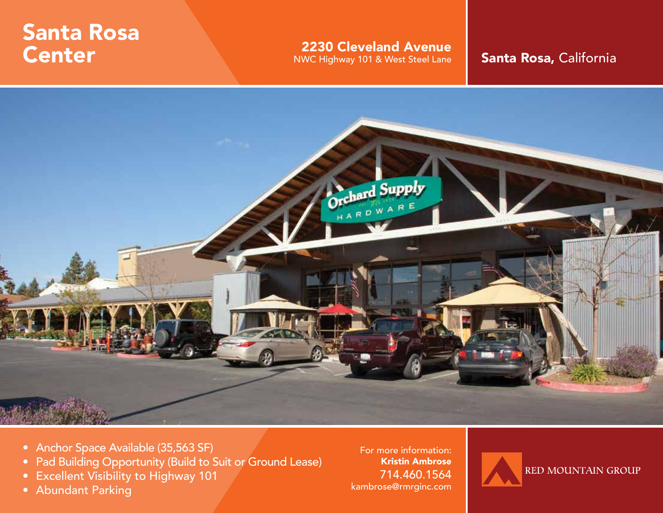# Santa Rosa Center

2230 Cleveland Avenue

NWC Highway 101 & West Steel Lane **Santa Rosa, California** 



- Anchor Space Available (35,563 SF)
- Pad Building Opportunity (Build to Suit or Ground Lease)
- Excellent Visibility to Highway 101
- Abundant Parking

For more information: Kristin Ambrose 714.460.1564 kambrose@rmrginc.com

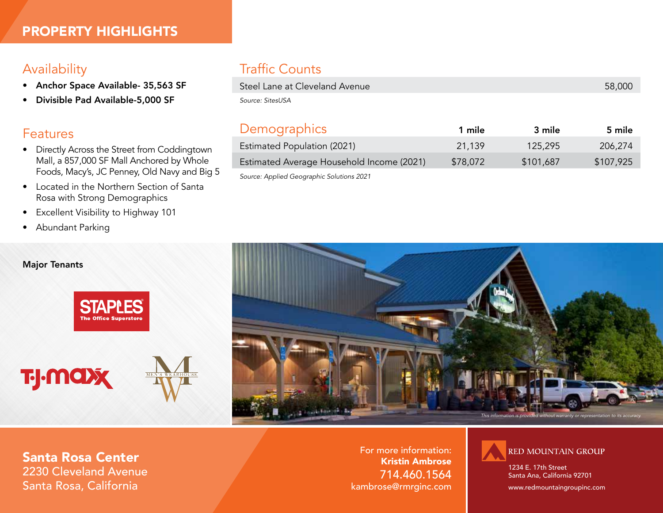## Availability

- Anchor Space Available- 35,563 SF
- Divisible Pad Available-5,000 SF

### Features

- Directly Across the Street from Coddingtown Mall, a 857,000 SF Mall Anchored by Whole Foods, Macy's, JC Penney, Old Navy and Big 5
- Located in the Northern Section of Santa Rosa with Strong Demographics
- Excellent Visibility to Highway 101
- Abundant Parking

#### Major Tenants



**TJ-MOX** 



# Traffic Counts

| Steel Lane at Cleveland Avenue | 58,000 |
|--------------------------------|--------|
| Source: SitesUSA               |        |

| Demographics                              | 1 mile   | 3 mile    | 5 mile    |
|-------------------------------------------|----------|-----------|-----------|
| Estimated Population (2021)               | 21,139   | 125,295   | 206,274   |
| Estimated Average Household Income (2021) | \$78,072 | \$101,687 | \$107,925 |
| Source: Applied Geographic Solutions 2021 |          |           |           |



Santa Rosa Center 2230 Cleveland Avenue Santa Rosa, California

For more information: Kristin Ambrose 714.460.1564 kambrose@rmrginc.com



1234 E. 17th Street Santa Ana, California 92701

www.redmountaingroupinc.com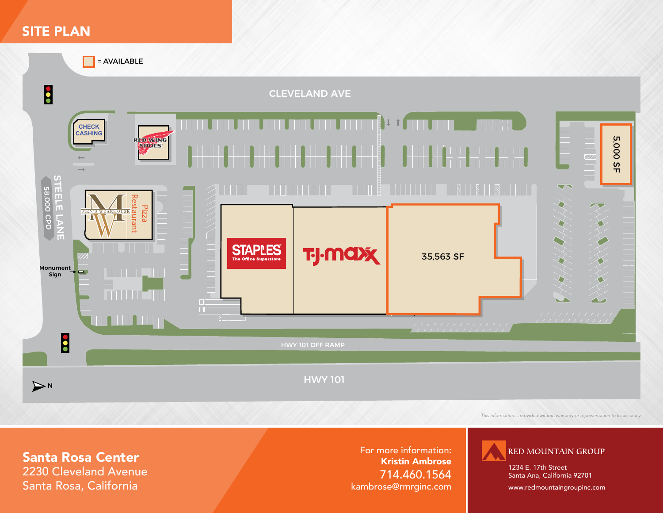## SITE PLAN

= AVAILABLE



*This information is provided without warranty or representation to its accuracy.*

# Santa Rosa Center

2230 Cleveland Avenue Santa Rosa, California

For more information: Kristin Ambrose 714.460.1564 kambrose@rmrginc.com



1234 E. 17th Street Santa Ana, California 92701

www.redmountaingroupinc.com